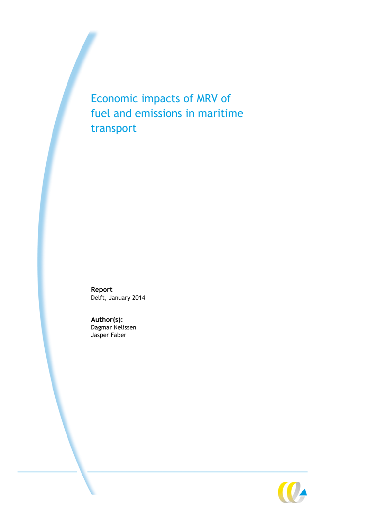Economic impacts of MRV of fuel and emissions in maritime transport

**Report** Delft, January 2014

**Author(s):** Dagmar Nelissen Jasper Faber

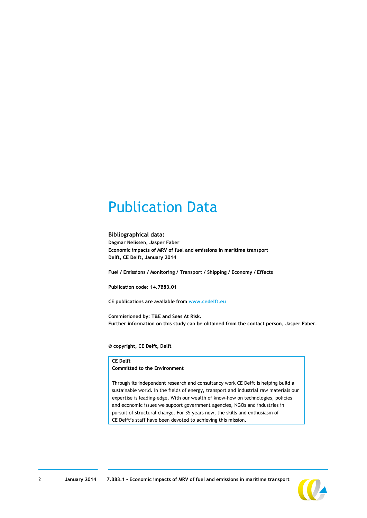# Publication Data

#### **Bibliographical data:**

**Dagmar Nelissen, Jasper Faber Economic impacts of MRV of fuel and emissions in maritime transport Delft, CE Delft, January 2014**

**Fuel / Emissions / Monitoring / Transport / Shipping / Economy / Effects**

**Publication code: 14.7B83.01**

**CE publications are available from [www.cedelft.eu](http://www.cedelft.eu/)**

**Commissioned by: T&E and Seas At Risk. Further information on this study can be obtained from the contact person, Jasper Faber.**

**© copyright, CE Delft, Delft**

#### **CE Delft**

#### **Committed to the Environment**

Through its independent research and consultancy work CE Delft is helping build a sustainable world. In the fields of energy, transport and industrial raw materials our expertise is leading-edge. With our wealth of know-how on technologies, policies and economic issues we support government agencies, NGOs and industries in pursuit of structural change. For 35 years now, the skills and enthusiasm of CE Delft's staff have been devoted to achieving this mission.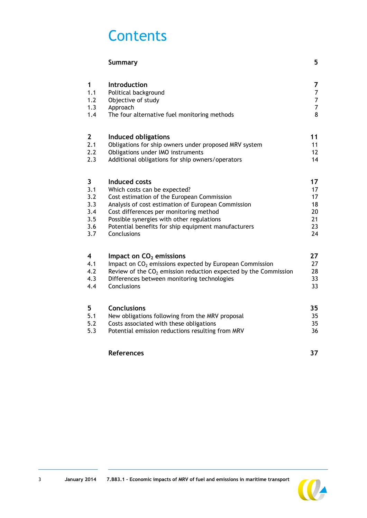# **Contents**

# **Summary 5**

| 1            | Introduction                                                        | 7                |
|--------------|---------------------------------------------------------------------|------------------|
| 1.1          | Political background                                                | $\overline{7}$   |
| 1.2          | Objective of study                                                  | $\boldsymbol{7}$ |
| 1.3          | Approach                                                            | $\overline{7}$   |
| 1.4          | The four alternative fuel monitoring methods                        | 8                |
| $\mathbf{2}$ | Induced obligations                                                 | 11               |
| 2.1          | Obligations for ship owners under proposed MRV system               | 11               |
| 2.2          | Obligations under IMO instruments                                   | 12               |
| 2.3          | Additional obligations for ship owners/operators                    | 14               |
| $\mathbf{3}$ | <b>Induced costs</b>                                                | 17               |
| 3.1          | Which costs can be expected?                                        | 17               |
| 3.2          | Cost estimation of the European Commission                          | 17               |
| 3.3          | Analysis of cost estimation of European Commission                  | 18               |
| 3.4          | Cost differences per monitoring method                              | 20               |
| 3.5          | Possible synergies with other regulations                           | 21               |
| 3.6          | Potential benefits for ship equipment manufacturers                 | 23               |
| 3.7          | Conclusions                                                         | 24               |
| 4            | Impact on $CO2$ emissions                                           | 27               |
| 4.1          | Impact on CO <sub>2</sub> emissions expected by European Commission | 27               |
| 4.2          | Review of the $CO2$ emission reduction expected by the Commission   | 28               |
| 4.3          | Differences between monitoring technologies                         | 33               |
| 4.4          | Conclusions                                                         | 33               |
| 5            | <b>Conclusions</b>                                                  | 35               |
| 5.1          | New obligations following from the MRV proposal                     | 35               |
| 5.2          | Costs associated with these obligations                             | 35               |
| 5.3          | Potential emission reductions resulting from MRV                    | 36               |
|              | <b>References</b>                                                   | 37               |

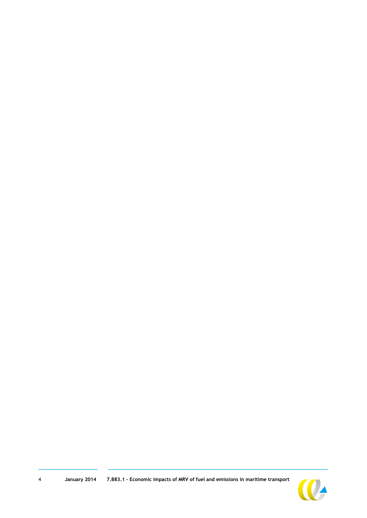

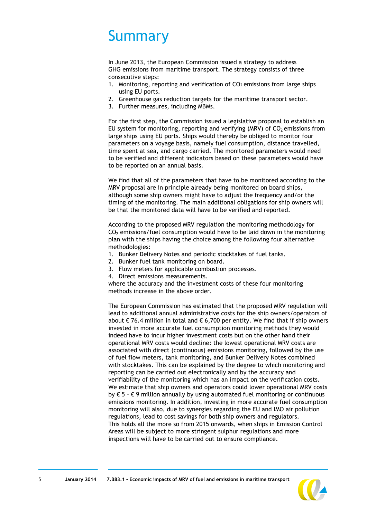# Summary

In June 2013, the European Commission issued a strategy to address GHG emissions from maritime transport. The strategy consists of three consecutive steps:

- 1. Monitoring, reporting and verification of CO2 emissions from large ships using EU ports.
- 2. Greenhouse gas reduction targets for the maritime transport sector.
- 3. Further measures, including MBMs.

For the first step, the Commission issued a legislative proposal to establish an EU system for monitoring, reporting and verifying (MRV) of  $CO<sub>2</sub>$  emissions from large ships using EU ports. Ships would thereby be obliged to monitor four parameters on a voyage basis, namely fuel consumption, distance travelled, time spent at sea, and cargo carried. The monitored parameters would need to be verified and different indicators based on these parameters would have to be reported on an annual basis.

We find that all of the parameters that have to be monitored according to the MRV proposal are in principle already being monitored on board ships, although some ship owners might have to adjust the frequency and/or the timing of the monitoring. The main additional obligations for ship owners will be that the monitored data will have to be verified and reported.

According to the proposed MRV regulation the monitoring methodology for  $CO<sub>2</sub>$  emissions/fuel consumption would have to be laid down in the monitoring plan with the ships having the choice among the following four alternative methodologies:

- 1. Bunker Delivery Notes and periodic stocktakes of fuel tanks.
- 2. Bunker fuel tank monitoring on board.
- 3. Flow meters for applicable combustion processes.
- 4. Direct emissions measurements.

where the accuracy and the investment costs of these four monitoring methods increase in the above order.

The European Commission has estimated that the proposed MRV regulation will lead to additional annual administrative costs for the ship owners/operators of about € 76.4 million in total and  $\epsilon$  6,700 per entity. We find that if ship owners invested in more accurate fuel consumption monitoring methods they would indeed have to incur higher investment costs but on the other hand their operational MRV costs would decline: the lowest operational MRV costs are associated with direct (continuous) emissions monitoring, followed by the use of fuel flow meters, tank monitoring, and Bunker Delivery Notes combined with stocktakes. This can be explained by the degree to which monitoring and reporting can be carried out electronically and by the accuracy and verifiability of the monitoring which has an impact on the verification costs. We estimate that ship owners and operators could lower operational MRV costs by € 5 – € 9 million annually by using automated fuel monitoring or continuous emissions monitoring. In addition, investing in more accurate fuel consumption monitoring will also, due to synergies regarding the EU and IMO air pollution regulations, lead to cost savings for both ship owners and regulators. This holds all the more so from 2015 onwards, when ships in Emission Control Areas will be subject to more stringent sulphur regulations and more inspections will have to be carried out to ensure compliance.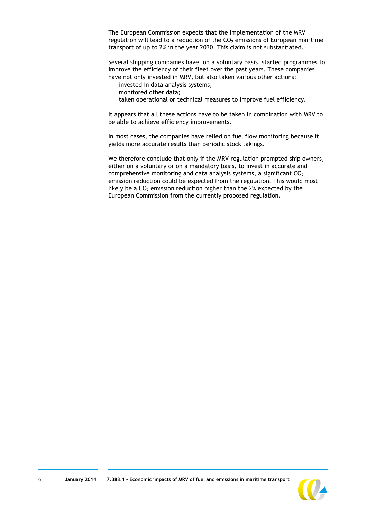The European Commission expects that the implementation of the MRV regulation will lead to a reduction of the  $CO<sub>2</sub>$  emissions of European maritime transport of up to 2% in the year 2030. This claim is not substantiated.

Several shipping companies have, on a voluntary basis, started programmes to improve the efficiency of their fleet over the past years. These companies have not only invested in MRV, but also taken various other actions:

- $-$  invested in data analysis systems;
- monitored other data:
- taken operational or technical measures to improve fuel efficiency.

It appears that all these actions have to be taken in combination with MRV to be able to achieve efficiency improvements.

In most cases, the companies have relied on fuel flow monitoring because it yields more accurate results than periodic stock takings.

We therefore conclude that only if the MRV regulation prompted ship owners, either on a voluntary or on a mandatory basis, to invest in accurate and comprehensive monitoring and data analysis systems, a significant  $CO<sub>2</sub>$ emission reduction could be expected from the regulation. This would most likely be a  $CO<sub>2</sub>$  emission reduction higher than the 2% expected by the European Commission from the currently proposed regulation.

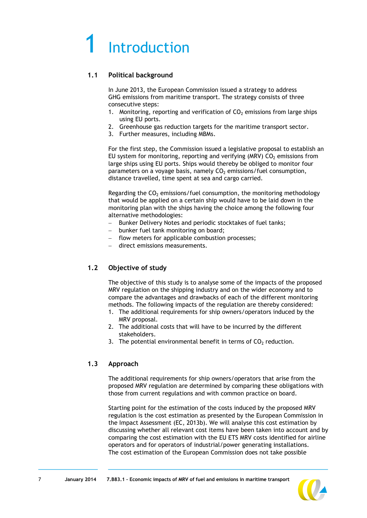# **Introduction**

# **1.1 Political background**

In June 2013, the European Commission issued a strategy to address GHG emissions from maritime transport. The strategy consists of three consecutive steps:

- 1. Monitoring, reporting and verification of  $CO<sub>2</sub>$  emissions from large ships using EU ports.
- 2. Greenhouse gas reduction targets for the maritime transport sector.
- 3. Further measures, including MBMs.

For the first step, the Commission issued a legislative proposal to establish an EU system for monitoring, reporting and verifying (MRV)  $CO<sub>2</sub>$  emissions from large ships using EU ports. Ships would thereby be obliged to monitor four parameters on a voyage basis, namely  $CO<sub>2</sub>$  emissions/fuel consumption, distance travelled, time spent at sea and cargo carried.

Regarding the  $CO<sub>2</sub>$  emissions/fuel consumption, the monitoring methodology that would be applied on a certain ship would have to be laid down in the monitoring plan with the ships having the choice among the following four alternative methodologies:

- Bunker Delivery Notes and periodic stocktakes of fuel tanks;
- bunker fuel tank monitoring on board;
- flow meters for applicable combustion processes;
- direct emissions measurements.

# **1.2 Objective of study**

The objective of this study is to analyse some of the impacts of the proposed MRV regulation on the shipping industry and on the wider economy and to compare the advantages and drawbacks of each of the different monitoring methods. The following impacts of the regulation are thereby considered:

- 1. The additional requirements for ship owners/operators induced by the MRV proposal.
- 2. The additional costs that will have to be incurred by the different stakeholders.
- 3. The potential environmental benefit in terms of  $CO<sub>2</sub>$  reduction.

# **1.3 Approach**

The additional requirements for ship owners/operators that arise from the proposed MRV regulation are determined by comparing these obligations with those from current regulations and with common practice on board.

Starting point for the estimation of the costs induced by the proposed MRV regulation is the cost estimation as presented by the European Commission in the Impact Assessment (EC, 2013b). We will analyse this cost estimation by discussing whether all relevant cost items have been taken into account and by comparing the cost estimation with the EU ETS MRV costs identified for airline operators and for operators of industrial/power generating installations. The cost estimation of the European Commission does not take possible

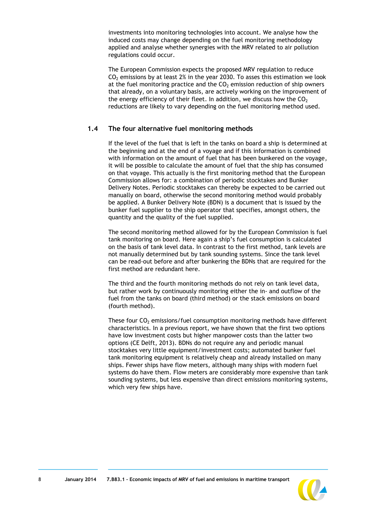investments into monitoring technologies into account. We analyse how the induced costs may change depending on the fuel monitoring methodology applied and analyse whether synergies with the MRV related to air pollution regulations could occur.

The European Commission expects the proposed MRV regulation to reduce  $CO<sub>2</sub>$  emissions by at least 2% in the year 2030. To asses this estimation we look at the fuel monitoring practice and the  $CO<sub>2</sub>$  emission reduction of ship owners that already, on a voluntary basis, are actively working on the improvement of the energy efficiency of their fleet. In addition, we discuss how the  $CO<sub>2</sub>$ reductions are likely to vary depending on the fuel monitoring method used.

#### **1.4 The four alternative fuel monitoring methods**

If the level of the fuel that is left in the tanks on board a ship is determined at the beginning and at the end of a voyage and if this information is combined with information on the amount of fuel that has been bunkered on the voyage, it will be possible to calculate the amount of fuel that the ship has consumed on that voyage. This actually is the first monitoring method that the European Commission allows for: a combination of periodic stocktakes and Bunker Delivery Notes. Periodic stocktakes can thereby be expected to be carried out manually on board, otherwise the second monitoring method would probably be applied. A Bunker Delivery Note (BDN) is a document that is issued by the bunker fuel supplier to the ship operator that specifies, amongst others, the quantity and the quality of the fuel supplied.

The second monitoring method allowed for by the European Commission is fuel tank monitoring on board. Here again a ship's fuel consumption is calculated on the basis of tank level data. In contrast to the first method, tank levels are not manually determined but by tank sounding systems. Since the tank level can be read-out before and after bunkering the BDNs that are required for the first method are redundant here.

The third and the fourth monitoring methods do not rely on tank level data, but rather work by continuously monitoring either the in- and outflow of the fuel from the tanks on board (third method) or the stack emissions on board (fourth method).

These four  $CO<sub>2</sub>$  emissions/fuel consumption monitoring methods have different characteristics. In a previous report, we have shown that the first two options have low investment costs but higher manpower costs than the latter two options (CE Delft, 2013). BDNs do not require any and periodic manual stocktakes very little equipment/investment costs; automated bunker fuel tank monitoring equipment is relatively cheap and already installed on many ships. Fewer ships have flow meters, although many ships with modern fuel systems do have them. Flow meters are considerably more expensive than tank sounding systems, but less expensive than direct emissions monitoring systems, which very few ships have.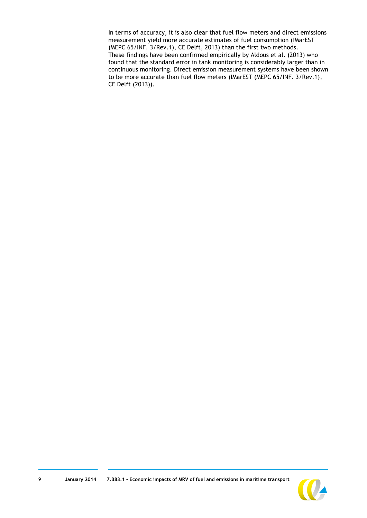In terms of accuracy, it is also clear that fuel flow meters and direct emissions measurement yield more accurate estimates of fuel consumption (IMarEST (MEPC 65/INF. 3/Rev.1), CE Delft, 2013) than the first two methods. These findings have been confirmed empirically by Aldous et al. (2013) who found that the standard error in tank monitoring is considerably larger than in continuous monitoring. Direct emission measurement systems have been shown to be more accurate than fuel flow meters (IMarEST (MEPC 65/INF. 3/Rev.1), CE Delft (2013)).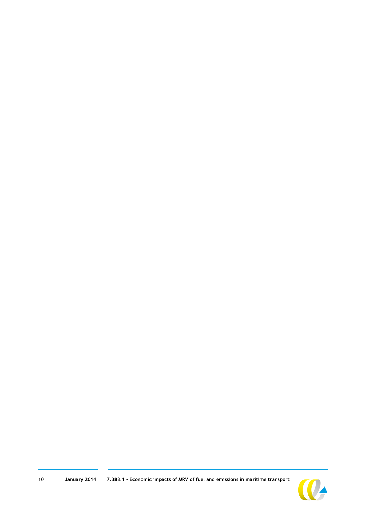

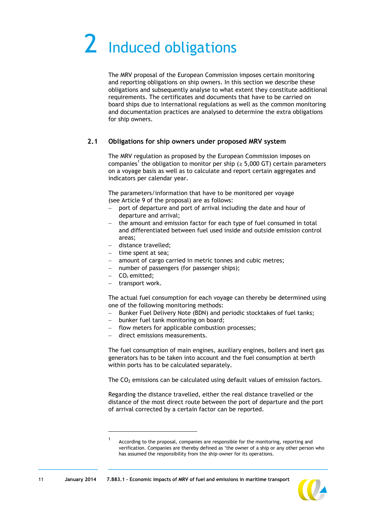# 2 Induced obligations

The MRV proposal of the European Commission imposes certain monitoring and reporting obligations on ship owners. In this section we describe these obligations and subsequently analyse to what extent they constitute additional requirements. The certificates and documents that have to be carried on board ships due to international regulations as well as the common monitoring and documentation practices are analysed to determine the extra obligations for ship owners.

# **2.1 Obligations for ship owners under proposed MRV system**

The MRV regulation as proposed by the European Commission imposes on companies<sup>1</sup> the obligation to monitor per ship ( $\geq$  5,000 GT) certain parameters on a voyage basis as well as to calculate and report certain aggregates and indicators per calendar year.

The parameters/information that have to be monitored per voyage (see Article 9 of the proposal) are as follows:

- port of departure and port of arrival including the date and hour of departure and arrival;
- the amount and emission factor for each type of fuel consumed in total and differentiated between fuel used inside and outside emission control areas;
- distance travelled:
- $-$  time spent at sea;
- amount of cargo carried in metric tonnes and cubic metres;
- number of passengers (for passenger ships);
- $-$  CO<sub>2</sub> emitted;

-

- transport work.

The actual fuel consumption for each voyage can thereby be determined using one of the following monitoring methods:

- Bunker Fuel Delivery Note (BDN) and periodic stocktakes of fuel tanks;
- bunker fuel tank monitoring on board;
- flow meters for applicable combustion processes;
- direct emissions measurements.

The fuel consumption of main engines, auxiliary engines, boilers and inert gas generators has to be taken into account and the fuel consumption at berth within ports has to be calculated separately.

The  $CO<sub>2</sub>$  emissions can be calculated using default values of emission factors.

Regarding the distance travelled, either the real distance travelled or the distance of the most direct route between the port of departure and the port of arrival corrected by a certain factor can be reported.



<sup>1</sup> According to the proposal, companies are responsible for the monitoring, reporting and verification. Companies are thereby defined as 'the owner of a ship or any other person who has assumed the responsibility from the ship-owner for its operations.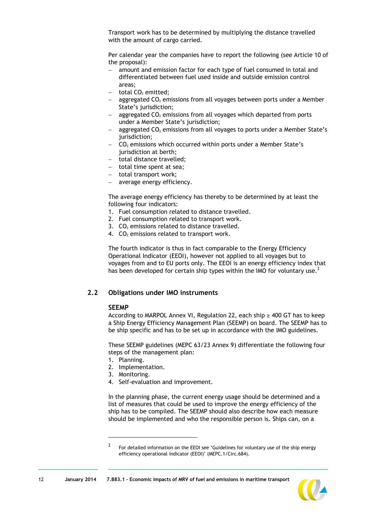Transport work has to be determined by multiplying the distance travelled with the amount of cargo carried.

Per calendar year the companies have to report the following (see Article 10 of the proposal):

- amount and emission factor for each type of fuel consumed in total and differentiated between fuel used inside and outside emission control areas;
- $-$  total CO<sub>2</sub> emitted;
- aggregated  $CO<sub>2</sub>$  emissions from all voyages between ports under a Member State's jurisdiction;
- aggregated  $CO<sub>2</sub>$  emissions from all voyages which departed from ports under a Member State's jurisdiction;
- aggregated  $CO<sub>2</sub>$  emissions from all voyages to ports under a Member State's jurisdiction;
- $-CO<sub>2</sub>$  emissions which occurred within ports under a Member State's jurisdiction at berth;
- total distance travelled:
- $-$  total time spent at sea;
- total transport work;
- average energy efficiency.

The average energy efficiency has thereby to be determined by at least the following four indicators:

- 1. Fuel consumption related to distance travelled.
- 2. Fuel consumption related to transport work.
- 3.  $CO<sub>2</sub>$  emissions related to distance travelled.
- 4.  $CO<sub>2</sub>$  emissions related to transport work.

The fourth indicator is thus in fact comparable to the Energy Efficiency Operational Indicator (EEOI), however not applied to all voyages but to voyages from and to EU ports only. The EEOI is an energy efficiency index that has been developed for certain ship types within the IMO for voluntary use.<sup>2</sup>

## **2.2 Obligations under IMO instruments**

#### **SEEMP**

According to MARPOL Annex VI, Regulation 22, each ship  $\geq 400$  GT has to keep a Ship Energy Efficiency Management Plan (SEEMP) on board. The SEEMP has to be ship specific and has to be set up in accordance with the IMO guidelines.

These SEEMP guidelines (MEPC 63/23 Annex 9) differentiate the following four steps of the management plan:

- 1. Planning.
- 2. Implementation.
- 3. Monitoring.

 $\overline{a}$ 

4. Self-evaluation and improvement.

In the planning phase, the current energy usage should be determined and a list of measures that could be used to improve the energy efficiency of the ship has to be compiled. The SEEMP should also describe how each measure should be implemented and who the responsible person is. Ships can, on a



<sup>2</sup> For detailed information on the EEOI see 'Guidelines for voluntary use of the ship energy efficiency operational indicator (EEOI)' (MEPC.1/Circ.684).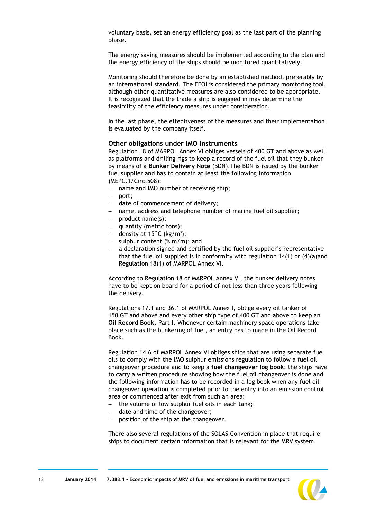voluntary basis, set an energy efficiency goal as the last part of the planning phase.

The energy saving measures should be implemented according to the plan and the energy efficiency of the ships should be monitored quantitatively.

Monitoring should therefore be done by an established method, preferably by an international standard. The EEOI is considered the primary monitoring tool, although other quantitative measures are also considered to be appropriate. It is recognized that the trade a ship is engaged in may determine the feasibility of the efficiency measures under consideration.

In the last phase, the effectiveness of the measures and their implementation is evaluated by the company itself.

#### **Other obligations under IMO instruments**

Regulation 18 of MARPOL Annex VI obliges vessels of 400 GT and above as well as platforms and drilling rigs to keep a record of the fuel oil that they bunker by means of a **Bunker Delivery Note** (BDN).The BDN is issued by the bunker fuel supplier and has to contain at least the following information (MEPC.1/Circ.508):

- name and IMO number of receiving ship;
- port;
- date of commencement of delivery;
- name, address and telephone number of marine fuel oil supplier;
- $-$  product name(s);
- $-$  quantity (metric tons):
- $-$  density at 15°C (kg/m<sup>3</sup>);
- $-$  sulphur content (% m/m); and
- a declaration signed and certified by the fuel oil supplier's representative that the fuel oil supplied is in conformity with regulation 14(1) or (4)(a)and Regulation 18(1) of MARPOL Annex VI.

According to Regulation 18 of MARPOL Annex VI, the bunker delivery notes have to be kept on board for a period of not less than three years following the delivery.

Regulations 17.1 and 36.1 of MARPOL Annex I, oblige every oil tanker of 150 GT and above and every other ship type of 400 GT and above to keep an **Oil Record Book**, Part I. Whenever certain machinery space operations take place such as the bunkering of fuel, an entry has to made in the Oil Record Book.

Regulation 14.6 of MARPOL Annex VI obliges ships that are using separate fuel oils to comply with the IMO sulphur emissions regulation to follow a fuel oil changeover procedure and to keep a **fuel changeover log book**: the ships have to carry a written procedure showing how the fuel oil changeover is done and the following information has to be recorded in a log book when any fuel oil changeover operation is completed prior to the entry into an emission control area or commenced after exit from such an area:

- the volume of low sulphur fuel oils in each tank;
- date and time of the changeover;
- position of the ship at the changeover.

There also several regulations of the SOLAS Convention in place that require ships to document certain information that is relevant for the MRV system.

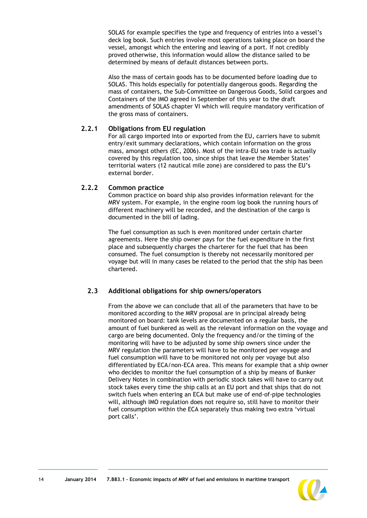SOLAS for example specifies the type and frequency of entries into a vessel's deck log book. Such entries involve most operations taking place on board the vessel, amongst which the entering and leaving of a port. If not credibly proved otherwise, this information would allow the distance sailed to be determined by means of default distances between ports.

Also the mass of certain goods has to be documented before loading due to SOLAS. This holds especially for potentially dangerous goods. Regarding the mass of containers, the Sub-Committee on Dangerous Goods, Solid cargoes and Containers of the IMO agreed in September of this year to the draft amendments of SOLAS chapter VI which will require mandatory verification of the gross mass of containers.

### **2.2.1 Obligations from EU regulation**

For all cargo imported into or exported from the EU, carriers have to submit entry/exit summary declarations, which contain information on the gross mass, amongst others (EC, 2006). Most of the intra-EU sea trade is actually covered by this regulation too, since ships that leave the Member States' territorial waters (12 nautical mile zone) are considered to pass the EU's external border.

### **2.2.2 Common practice**

Common practice on board ship also provides information relevant for the MRV system. For example, in the engine room log book the running hours of different machinery will be recorded, and the destination of the cargo is documented in the bill of lading.

The fuel consumption as such is even monitored under certain charter agreements. Here the ship owner pays for the fuel expenditure in the first place and subsequently charges the charterer for the fuel that has been consumed. The fuel consumption is thereby not necessarily monitored per voyage but will in many cases be related to the period that the ship has been chartered.

# **2.3 Additional obligations for ship owners/operators**

From the above we can conclude that all of the parameters that have to be monitored according to the MRV proposal are in principal already being monitored on board: tank levels are documented on a regular basis, the amount of fuel bunkered as well as the relevant information on the voyage and cargo are being documented. Only the frequency and/or the timing of the monitoring will have to be adjusted by some ship owners since under the MRV regulation the parameters will have to be monitored per voyage and fuel consumption will have to be monitored not only per voyage but also differentiated by ECA/non-ECA area. This means for example that a ship owner who decides to monitor the fuel consumption of a ship by means of Bunker Delivery Notes in combination with periodic stock takes will have to carry out stock takes every time the ship calls at an EU port and that ships that do not switch fuels when entering an ECA but make use of end-of-pipe technologies will, although IMO regulation does not require so, still have to monitor their fuel consumption within the ECA separately thus making two extra 'virtual port calls'.

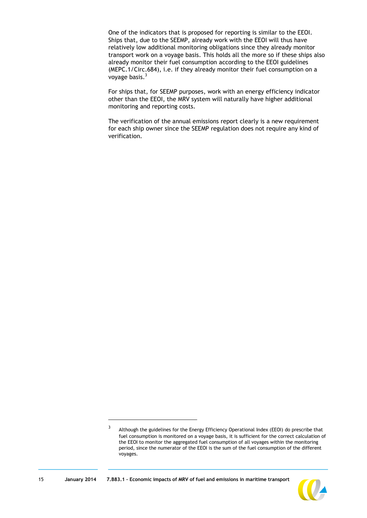One of the indicators that is proposed for reporting is similar to the EEOI. Ships that, due to the SEEMP, already work with the EEOI will thus have relatively low additional monitoring obligations since they already monitor transport work on a voyage basis. This holds all the more so if these ships also already monitor their fuel consumption according to the EEOI guidelines (MEPC.1/Circ.684), i.e. if they already monitor their fuel consumption on a voyage basis.<sup>3</sup>

For ships that, for SEEMP purposes, work with an energy efficiency indicator other than the EEOI, the MRV system will naturally have higher additional monitoring and reporting costs.

The verification of the annual emissions report clearly is a new requirement for each ship owner since the SEEMP regulation does not require any kind of verification.

<sup>3</sup> Although the guidelines for the Energy Efficiency Operational Index (EEOI) do prescribe that fuel consumption is monitored on a voyage basis, it is sufficient for the correct calculation of the EEOI to monitor the aggregated fuel consumption of all voyages within the monitoring period, since the numerator of the EEOI is the sum of the fuel consumption of the different voyages.



 $\overline{a}$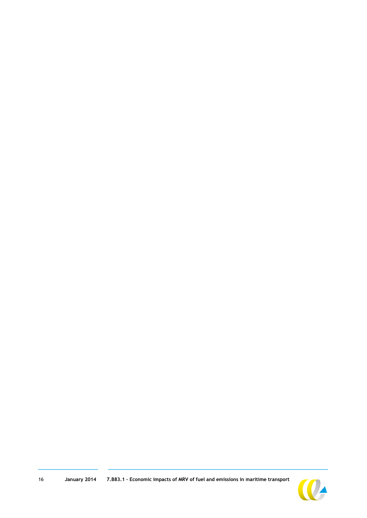

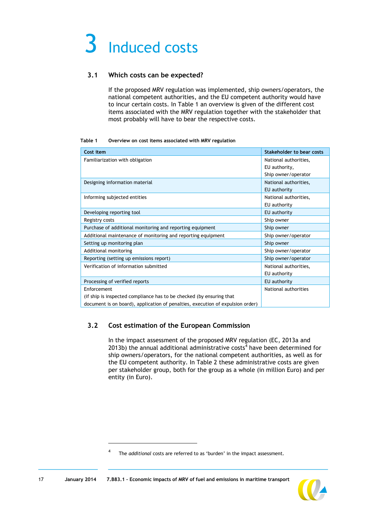# Induced costs

# **3.1 Which costs can be expected?**

If the proposed MRV regulation was implemented, ship owners/operators, the national competent authorities, and the EU competent authority would have to incur certain costs. In [Table 1](#page-16-0) an overview is given of the different cost items associated with the MRV regulation together with the stakeholder that most probably will have to bear the respective costs.

| Cost item                                                                      | Stakeholder to bear costs |
|--------------------------------------------------------------------------------|---------------------------|
| Familiarization with obligation                                                | National authorities,     |
|                                                                                | EU authority,             |
|                                                                                | Ship owner/operator       |
| Designing information material                                                 | National authorities,     |
|                                                                                | EU authority              |
| Informing subjected entities                                                   | National authorities,     |
|                                                                                | EU authority              |
| Developing reporting tool                                                      | EU authority              |
| Registry costs                                                                 | Ship owner                |
| Purchase of additional monitoring and reporting equipment                      | Ship owner                |
| Additional maintenance of monitoring and reporting equipment                   | Ship owner/operator       |
| Setting up monitoring plan                                                     | Ship owner                |
| Additional monitoring                                                          | Ship owner/operator       |
| Reporting (setting up emissions report)                                        | Ship owner/operator       |
| Verification of information submitted                                          | National authorities,     |
|                                                                                | EU authority              |
| Processing of verified reports                                                 | EU authority              |
| Enforcement                                                                    | National authorities      |
| (if ship is inspected compliance has to be checked (by ensuring that           |                           |
| document is on board), application of penalties, execution of expulsion order) |                           |

#### <span id="page-16-0"></span>**Table 1 Overview on cost items associated with MRV regulation**

# **3.2 Cost estimation of the European Commission**

In the impact assessment of the proposed MRV regulation (EC, 2013a and 2013b) the annual additional administrative costs<sup>4</sup> have been determined for ship owners/operators, for the national competent authorities, as well as for the EU competent authority. In [Table 2](#page-17-0) these administrative costs are given per stakeholder group, both for the group as a whole (in million Euro) and per entity (in Euro).

<sup>4</sup> The *additional* costs are referred to as 'burden' in the impact assessment.



-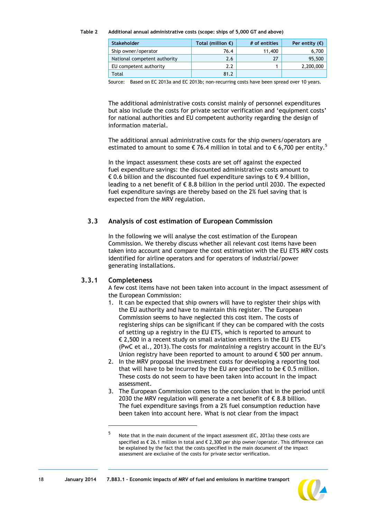#### <span id="page-17-0"></span>**Table 2 Additional annual administrative costs (scope: ships of 5,000 GT and above)**

| <b>Stakeholder</b>           | Total (million $\epsilon$ ) | # of entities | Per entity $(\epsilon)$ |
|------------------------------|-----------------------------|---------------|-------------------------|
| Ship owner/operator          | 76.4                        | 11,400        | 6,700                   |
| National competent authority | 2.6                         | 27            | 95,500                  |
| EU competent authority       | 2.2                         |               | 2,200,000               |
| Total                        | 81.2                        |               |                         |

Source: Based on EC 2013a and EC 2013b; non-recurring costs have been spread over 10 years.

The additional administrative costs consist mainly of personnel expenditures but also include the costs for private sector verification and 'equipment costs' for national authorities and EU competent authority regarding the design of information material.

The additional annual administrative costs for the ship owners/operators are estimated to amount to some  $\epsilon$  76.4 million in total and to  $\epsilon$  6,700 per entity.<sup>5</sup>

In the impact assessment these costs are set off against the expected fuel expenditure savings: the discounted administrative costs amount to € 0.6 billion and the discounted fuel expenditure savings to  $€$  9.4 billion, leading to a net benefit of  $\epsilon$  8.8 billion in the period until 2030. The expected fuel expenditure savings are thereby based on the 2% fuel saving that is expected from the MRV regulation.

# **3.3 Analysis of cost estimation of European Commission**

In the following we will analyse the cost estimation of the European Commission. We thereby discuss whether all relevant cost items have been taken into account and compare the cost estimation with the EU ETS MRV costs identified for airline operators and for operators of industrial/power generating installations.

# **3.3.1 Completeness**

1

A few cost items have not been taken into account in the impact assessment of the European Commission:

- 1. It can be expected that ship owners will have to register their ships with the EU authority and have to maintain this register. The European Commission seems to have neglected this cost item. The costs of registering ships can be significant if they can be compared with the costs of setting up a registry in the EU ETS, which is reported to amount to  $\epsilon$  2,500 in a recent study on small aviation emitters in the EU ETS (PwC et al., 2013).The costs for *maintaining* a registry account in the EU's Union registry have been reported to amount to around  $\epsilon$  500 per annum.
- 2. In the MRV proposal the investment costs for developing a reporting tool that will have to be incurred by the EU are specified to be  $\epsilon$  0.5 million. These costs do not seem to have been taken into account in the impact assessment.
- 3. The European Commission comes to the conclusion that in the period until 2030 the MRV regulation will generate a net benefit of  $\epsilon$  8.8 billion. The fuel expenditure savings from a 2% fuel consumption reduction have been taken into account here. What is not clear from the impact

<sup>5</sup> Note that in the main document of the impact assessment (EC, 2013a) these costs are specified as € 26.1 million in total and € 2.300 per ship owner/operator. This difference can be explained by the fact that the costs specified in the main document of the impact assessment are exclusive of the costs for private sector verification.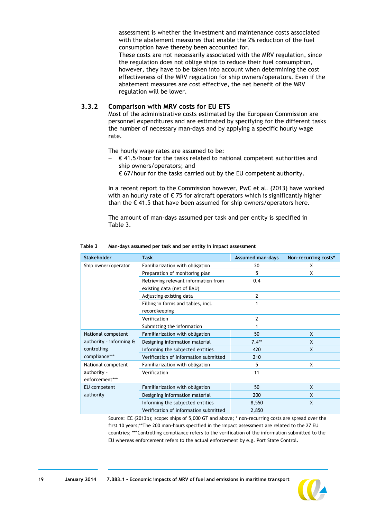assessment is whether the investment and maintenance costs associated with the abatement measures that enable the 2% reduction of the fuel consumption have thereby been accounted for.

These costs are not necessarily associated with the MRV regulation, since the regulation does not oblige ships to reduce their fuel consumption, however, they have to be taken into account when determining the cost effectiveness of the MRV regulation for ship owners/operators. Even if the abatement measures are cost effective, the net benefit of the MRV regulation will be lower.

## **3.3.2 Comparison with MRV costs for EU ETS**

Most of the administrative costs estimated by the European Commission are personnel expenditures and are estimated by specifying for the different tasks the number of necessary man-days and by applying a specific hourly wage rate.

The hourly wage rates are assumed to be:

- $\epsilon$  41.5/hour for the tasks related to national competent authorities and ship owners/operators; and
- $\overline{6}$  67/hour for the tasks carried out by the EU competent authority.

In a recent report to the Commission however, PwC et al. (2013) have worked with an hourly rate of  $\epsilon$  75 for aircraft operators which is significantly higher than the  $\epsilon$  41.5 that have been assumed for ship owners/operators here.

The amount of man-days assumed per task and per entity is specified in [Table 3.](#page-18-0)

| <b>Stakeholder</b>              | <b>Task</b>                           | <b>Assumed man-days</b> | Non-recurring costs* |
|---------------------------------|---------------------------------------|-------------------------|----------------------|
| Ship owner/operator             | Familiarization with obligation       | 20                      | x                    |
|                                 | Preparation of monitoring plan        | 5                       | X                    |
|                                 | Retrieving relevant information from  | 0.4                     |                      |
|                                 | existing data (net of BAU)            |                         |                      |
|                                 | Adjusting existing data               | $\overline{2}$          |                      |
|                                 | Filling in forms and tables, incl.    | 1                       |                      |
|                                 | recordkeeping                         |                         |                      |
|                                 | Verification                          | 2                       |                      |
|                                 | Submitting the information            |                         |                      |
| National competent              | Familiarization with obligation       | 50                      | X                    |
| authority - informing $\hat{a}$ | Designing information material        | $7.4**$                 | X                    |
| controlling                     | Informing the subjected entities      | 420                     | X                    |
| compliance***                   | Verification of information submitted | 210                     |                      |
| National competent              | Familiarization with obligation       | 5                       | X                    |
| authority -                     | Verification                          | 11                      |                      |
| enforcement***                  |                                       |                         |                      |
| EU competent                    | Familiarization with obligation       | 50                      | X                    |
| authority                       | Designing information material        | 200                     | X                    |
|                                 | Informing the subjected entities      | 8,550                   | X                    |
|                                 | Verification of information submitted | 2,850                   |                      |

<span id="page-18-0"></span>**Table 3 Man-days assumed per task and per entity in impact assessment**

Source: EC (2013b); scope: ships of 5,000 GT and above; \* non-recurring costs are spread over the first 10 years;\*\*The 200 man-hours specified in the impact assessment are related to the 27 EU countries; \*\*\*Controlling compliance refers to the verification of the information submitted to the EU whereas enforcement refers to the actual enforcement by e.g. Port State Control.

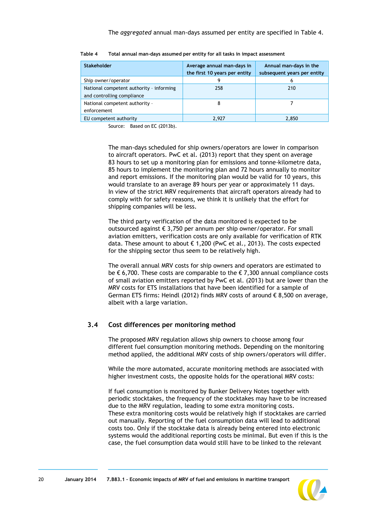The *aggregated* annual man-days assumed per entity are specified in [Table 4.](#page-19-0)

| <b>Stakeholder</b>                                                     | Average annual man-days in<br>the first 10 years per entity | Annual man-days in the<br>subsequent years per entity |
|------------------------------------------------------------------------|-------------------------------------------------------------|-------------------------------------------------------|
| Ship owner/operator                                                    | 9                                                           | 6                                                     |
| National competent authority - informing<br>and controlling compliance | 258                                                         | 210                                                   |
| National competent authority -<br>enforcement                          |                                                             |                                                       |
| EU competent authority                                                 | 2.927                                                       | 2,850                                                 |

<span id="page-19-0"></span>**Table 4 Total annual man-days assumed per entity for all tasks in impact assessment**

Source: Based on EC (2013b).

The man-days scheduled for ship owners/operators are lower in comparison to aircraft operators. PwC et al. (2013) report that they spent on average 83 hours to set up a monitoring plan for emissions and tonne-kilometre data, 85 hours to implement the monitoring plan and 72 hours annually to monitor and report emissions. If the monitoring plan would be valid for 10 years, this would translate to an average 89 hours per year or approximately 11 days. In view of the strict MRV requirements that aircraft operators already had to comply with for safety reasons, we think it is unlikely that the effort for shipping companies will be less.

The third party verification of the data monitored is expected to be outsourced against  $\epsilon$  3,750 per annum per ship owner/operator. For small aviation emitters, verification costs are only available for verification of RTK data. These amount to about € 1,200 (PwC et al., 2013). The costs expected for the shipping sector thus seem to be relatively high.

The overall annual MRV costs for ship owners and operators are estimated to be € 6,700. These costs are comparable to the € 7,300 annual compliance costs of small aviation emitters reported by PwC et al. (2013) but are lower than the MRV costs for ETS installations that have been identified for a sample of German ETS firms: Heindl (2012) finds MRV costs of around  $\epsilon$  8,500 on average, albeit with a large variation.

# **3.4 Cost differences per monitoring method**

The proposed MRV regulation allows ship owners to choose among four different fuel consumption monitoring methods. Depending on the monitoring method applied, the additional MRV costs of ship owners/operators will differ.

While the more automated, accurate monitoring methods are associated with higher investment costs, the opposite holds for the operational MRV costs:

If fuel consumption is monitored by Bunker Delivery Notes together with periodic stocktakes, the frequency of the stocktakes may have to be increased due to the MRV regulation, leading to some extra monitoring costs. These extra monitoring costs would be relatively high if stocktakes are carried out manually. Reporting of the fuel consumption data will lead to additional costs too. Only if the stocktake data is already being entered into electronic systems would the additional reporting costs be minimal. But even if this is the case, the fuel consumption data would still have to be linked to the relevant

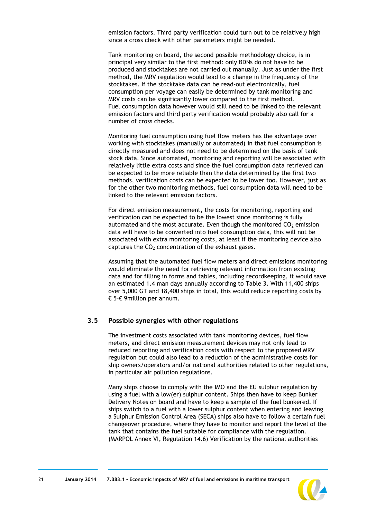emission factors. Third party verification could turn out to be relatively high since a cross check with other parameters might be needed.

Tank monitoring on board, the second possible methodology choice, is in principal very similar to the first method: only BDNs do not have to be produced and stocktakes are not carried out manually. Just as under the first method, the MRV regulation would lead to a change in the frequency of the stocktakes. If the stocktake data can be read-out electronically, fuel consumption per voyage can easily be determined by tank monitoring and MRV costs can be significantly lower compared to the first method. Fuel consumption data however would still need to be linked to the relevant emission factors and third party verification would probably also call for a number of cross checks.

Monitoring fuel consumption using fuel flow meters has the advantage over working with stocktakes (manually or automated) in that fuel consumption is directly measured and does not need to be determined on the basis of tank stock data. Since automated, monitoring and reporting will be associated with relatively little extra costs and since the fuel consumption data retrieved can be expected to be more reliable than the data determined by the first two methods, verification costs can be expected to be lower too. However, just as for the other two monitoring methods, fuel consumption data will need to be linked to the relevant emission factors.

For direct emission measurement, the costs for monitoring, reporting and verification can be expected to be the lowest since monitoring is fully automated and the most accurate. Even though the monitored  $CO<sub>2</sub>$  emission data will have to be converted into fuel consumption data, this will not be associated with extra monitoring costs, at least if the monitoring device also captures the  $CO<sub>2</sub>$  concentration of the exhaust gases.

Assuming that the automated fuel flow meters and direct emissions monitoring would eliminate the need for retrieving relevant information from existing data and for filling in forms and tables, including recordkeeping, it would save an estimated 1.4 man days annually according to [Table 3.](#page-18-0) With 11,400 ships over 5,000 GT and 18,400 ships in total, this would reduce reporting costs by € 5–€ 9million per annum.

### **3.5 Possible synergies with other regulations**

The investment costs associated with tank monitoring devices, fuel flow meters, and direct emission measurement devices may not only lead to reduced reporting and verification costs with respect to the proposed MRV regulation but could also lead to a reduction of the administrative costs for ship owners/operators and/or national authorities related to other regulations, in particular air pollution regulations.

Many ships choose to comply with the IMO and the EU sulphur regulation by using a fuel with a low(er) sulphur content. Ships then have to keep Bunker Delivery Notes on board and have to keep a sample of the fuel bunkered. If ships switch to a fuel with a lower sulphur content when entering and leaving a Sulphur Emission Control Area (SECA) ships also have to follow a certain fuel changeover procedure, where they have to monitor and report the level of the tank that contains the fuel suitable for compliance with the regulation. (MARPOL Annex VI, Regulation 14.6) Verification by the national authorities

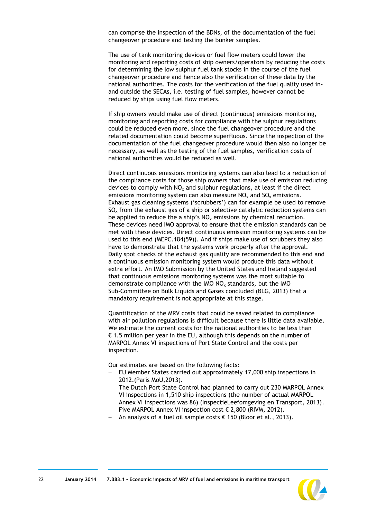can comprise the inspection of the BDNs, of the documentation of the fuel changeover procedure and testing the bunker samples.

The use of tank monitoring devices or fuel flow meters could lower the monitoring and reporting costs of ship owners/operators by reducing the costs for determining the low sulphur fuel tank stocks in the course of the fuel changeover procedure and hence also the verification of these data by the national authorities. The costs for the verification of the fuel quality used inand outside the SECAs, i.e. testing of fuel samples, however cannot be reduced by ships using fuel flow meters.

If ship owners would make use of direct (continuous) emissions monitoring, monitoring and reporting costs for compliance with the sulphur regulations could be reduced even more, since the fuel changeover procedure and the related documentation could become superfluous. Since the inspection of the documentation of the fuel changeover procedure would then also no longer be necessary, as well as the testing of the fuel samples, verification costs of national authorities would be reduced as well.

Direct continuous emissions monitoring systems can also lead to a reduction of the compliance costs for those ship owners that make use of emission reducing devices to comply with  $NO<sub>x</sub>$  and sulphur regulations, at least if the direct emissions monitoring system can also measure  $NO<sub>x</sub>$  and  $SO<sub>x</sub>$  emissions. Exhaust gas cleaning systems ('scrubbers') can for example be used to remove  $SO<sub>x</sub>$  from the exhaust gas of a ship or selective catalytic reduction systems can be applied to reduce the a ship's  $NO<sub>x</sub>$  emissions by chemical reduction. These devices need IMO approval to ensure that the emission standards can be met with these devices. Direct continuous emission monitoring systems can be used to this end (MEPC.184(59)). And if ships make use of scrubbers they also have to demonstrate that the systems work properly after the approval. Daily spot checks of the exhaust gas quality are recommended to this end and a continuous emission monitoring system would produce this data without extra effort. An IMO Submission by the United States and Ireland suggested that continuous emissions monitoring systems was the most suitable to demonstrate compliance with the IMO  $NO<sub>x</sub>$  standards, but the IMO Sub-Committee on Bulk Liquids and Gases concluded (BLG, 2013) that a mandatory requirement is not appropriate at this stage.

Quantification of the MRV costs that could be saved related to compliance with air pollution regulations is difficult because there is little data available. We estimate the current costs for the national authorities to be less than € 1.5 million per year in the EU, although this depends on the number of MARPOL Annex VI inspections of Port State Control and the costs per inspection.

Our estimates are based on the following facts:

- EU Member States carried out approximately 17,000 ship inspections in 2012.(Paris MoU,2013).
- The Dutch Port State Control had planned to carry out 230 MARPOL Annex VI inspections in 1,510 ship inspections (the number of actual MARPOL Annex VI inspections was 86) (InspectieLeefomgeving en Transport, 2013).
- $-$  Five MARPOL Annex VI inspection cost € 2,800 (RIVM, 2012).
- $-$  An analysis of a fuel oil sample costs € 150 (Bloor et al., 2013).

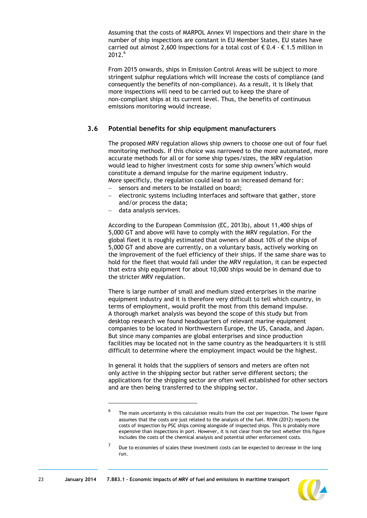Assuming that the costs of MARPOL Annex VI inspections and their share in the number of ship inspections are constant in EU Member States, EU states have carried out almost 2,600 inspections for a total cost of € 0.4  $\cdot$  € 1.5 million in 2012. 6

From 2015 onwards, ships in Emission Control Areas will be subject to more stringent sulphur regulations which will increase the costs of compliance (and consequently the benefits of non-compliance). As a result, it is likely that more inspections will need to be carried out to keep the share of non-compliant ships at its current level. Thus, the benefits of continuous emissions monitoring would increase.

### **3.6 Potential benefits for ship equipment manufacturers**

The proposed MRV regulation allows ship owners to choose one out of four fuel monitoring methods. If this choice was narrowed to the more automated, more accurate methods for all or for some ship types/sizes, the MRV regulation would lead to higher investment costs for some ship owners<sup>7</sup>which would constitute a demand impulse for the marine equipment industry. More specificly, the regulation could lead to an increased demand for:

- sensors and meters to be installed on board;
- electronic systems including interfaces and software that gather, store and/or process the data;
- data analysis services.

According to the European Commission (EC, 2013b), about 11,400 ships of 5,000 GT and above will have to comply with the MRV regulation. For the global fleet it is roughly estimated that owners of about 10% of the ships of 5,000 GT and above are currently, on a voluntary basis, actively working on the improvement of the fuel efficiency of their ships. If the same share was to hold for the fleet that would fall under the MRV regulation, it can be expected that extra ship equipment for about 10,000 ships would be in demand due to the stricter MRV regulation.

There is large number of small and medium sized enterprises in the marine equipment industry and it is therefore very difficult to tell which country, in terms of employment, would profit the most from this demand impulse. A thorough market analysis was beyond the scope of this study but from desktop research we found headquarters of relevant marine equipment companies to be located in Northwestern Europe, the US, Canada, and Japan. But since many companies are global enterprises and since production facilities may be located not in the same country as the headquarters it is still difficult to determine where the employment impact would be the highest.

In general it holds that the suppliers of sensors and meters are often not only active in the shipping sector but rather serve different sectors; the applications for the shipping sector are often well established for other sectors and are then being transferred to the shipping sector.

-



<sup>6</sup> The main uncertainty in this calculation results from the cost per inspection. The lower figure assumes that the costs are just related to the analysis of the fuel. RIVM (2012) reports the costs of inspection by PSC ships coming alongside of inspected ships. This is probably more expensive than inspections in port. However, it is not clear from the text whether this figure includes the costs of the chemical analysis and potential other enforcement costs.

<sup>7</sup> Due to economies of scales these investment costs can be expected to decrease in the long run.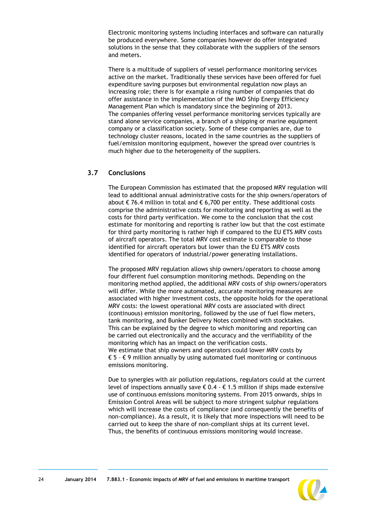Electronic monitoring systems including interfaces and software can naturally be produced everywhere. Some companies however do offer integrated solutions in the sense that they collaborate with the suppliers of the sensors and meters.

There is a multitude of suppliers of vessel performance monitoring services active on the market. Traditionally these services have been offered for fuel expenditure saving purposes but environmental regulation now plays an increasing role; there is for example a rising number of companies that do offer assistance in the implementation of the IMO Ship Energy Efficiency Management Plan which is mandatory since the beginning of 2013. The companies offering vessel performance monitoring services typically are stand alone service companies, a branch of a shipping or marine equipment company or a classification society. Some of these companies are, due to technology cluster reasons, located in the same countries as the suppliers of fuel/emission monitoring equipment, however the spread over countries is much higher due to the heterogeneity of the suppliers.

# **3.7 Conclusions**

The European Commission has estimated that the proposed MRV regulation will lead to additional annual administrative costs for the ship owners/operators of about € 76.4 million in total and € 6,700 per entity. These additional costs comprise the administrative costs for monitoring and reporting as well as the costs for third party verification. We come to the conclusion that the cost estimate for monitoring and reporting is rather low but that the cost estimate for third party monitoring is rather high if compared to the EU ETS MRV costs of aircraft operators. The total MRV cost estimate is comparable to those identified for aircraft operators but lower than the EU ETS MRV costs identified for operators of industrial/power generating installations.

The proposed MRV regulation allows ship owners/operators to choose among four different fuel consumption monitoring methods. Depending on the monitoring method applied, the additional MRV costs of ship owners/operators will differ. While the more automated, accurate monitoring measures are associated with higher investment costs, the opposite holds for the operational MRV costs: the lowest operational MRV costs are associated with direct (continuous) emission monitoring, followed by the use of fuel flow meters, tank monitoring, and Bunker Delivery Notes combined with stocktakes. This can be explained by the degree to which monitoring and reporting can be carried out electronically and the accuracy and the verifiability of the monitoring which has an impact on the verification costs. We estimate that ship owners and operators could lower MRV costs by € 5 – € 9 million annually by using automated fuel monitoring or continuous emissions monitoring.

Due to synergies with air pollution regulations, regulators could at the current level of inspections annually save  $\epsilon$  0.4  $\epsilon$  1.5 million if ships made extensive use of continuous emissions monitoring systems. From 2015 onwards, ships in Emission Control Areas will be subject to more stringent sulphur regulations which will increase the costs of compliance (and consequently the benefits of non-compliance). As a result, it is likely that more inspections will need to be carried out to keep the share of non-compliant ships at its current level. Thus, the benefits of continuous emissions monitoring would increase.

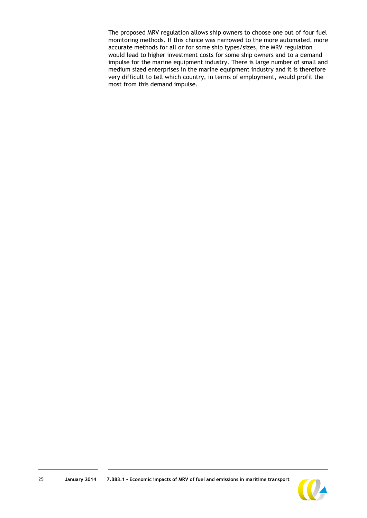The proposed MRV regulation allows ship owners to choose one out of four fuel monitoring methods. If this choice was narrowed to the more automated, more accurate methods for all or for some ship types/sizes, the MRV regulation would lead to higher investment costs for some ship owners and to a demand impulse for the marine equipment industry. There is large number of small and medium sized enterprises in the marine equipment industry and it is therefore very difficult to tell which country, in terms of employment, would profit the most from this demand impulse.

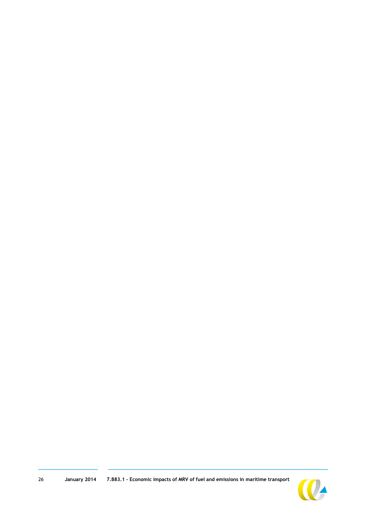

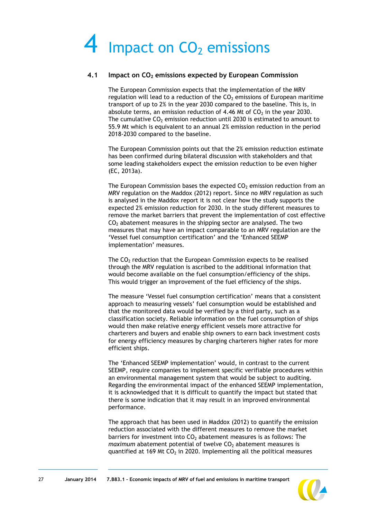# Impact on  $CO<sub>2</sub>$  emissions

# **4.1 Impact on CO<sup>2</sup> emissions expected by European Commission**

The European Commission expects that the implementation of the MRV regulation will lead to a reduction of the  $CO<sub>2</sub>$  emissions of European maritime transport of up to 2% in the year 2030 compared to the baseline. This is, in absolute terms, an emission reduction of 4.46 Mt of  $CO<sub>2</sub>$  in the year 2030. The cumulative  $CO<sub>2</sub>$  emission reduction until 2030 is estimated to amount to 55.9 Mt which is equivalent to an annual 2% emission reduction in the period 2018-2030 compared to the baseline.

The European Commission points out that the 2% emission reduction estimate has been confirmed during bilateral discussion with stakeholders and that some leading stakeholders expect the emission reduction to be even higher (EC, 2013a).

The European Commission bases the expected  $CO<sub>2</sub>$  emission reduction from an MRV regulation on the Maddox (2012) report. Since no MRV regulation as such is analysed in the Maddox report it is not clear how the study supports the expected 2% emission reduction for 2030. In the study different measures to remove the market barriers that prevent the implementation of cost effective  $CO<sub>2</sub>$  abatement measures in the shipping sector are analysed. The two measures that may have an impact comparable to an MRV regulation are the 'Vessel fuel consumption certification' and the 'Enhanced SEEMP implementation' measures.

The  $CO<sub>2</sub>$  reduction that the European Commission expects to be realised through the MRV regulation is ascribed to the additional information that would become available on the fuel consumption/efficiency of the ships. This would trigger an improvement of the fuel efficiency of the ships.

The measure 'Vessel fuel consumption certification' means that a consistent approach to measuring vessels' fuel consumption would be established and that the monitored data would be verified by a third party, such as a classification society. Reliable information on the fuel consumption of ships would then make relative energy efficient vessels more attractive for charterers and buyers and enable ship owners to earn back investment costs for energy efficiency measures by charging charterers higher rates for more efficient ships.

The 'Enhanced SEEMP implementation' would, in contrast to the current SEEMP, require companies to implement specific verifiable procedures within an environmental management system that would be subject to auditing. Regarding the environmental impact of the enhanced SEEMP implementation, it is acknowledged that it is difficult to quantify the impact but stated that there is some indication that it may result in an improved environmental performance.

The approach that has been used in Maddox (2012) to quantify the emission reduction associated with the different measures to remove the market barriers for investment into  $CO<sub>2</sub>$  abatement measures is as follows: The *maximum* abatement potential of twelve CO<sub>2</sub> abatement measures is quantified at 169 Mt  $CO<sub>2</sub>$  in 2020. Implementing all the political measures

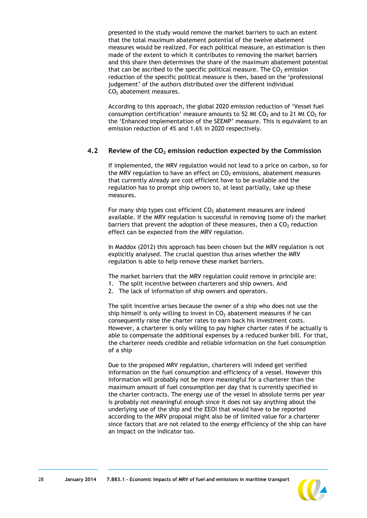presented in the study would remove the market barriers to such an extent that the total maximum abatement potential of the twelve abatement measures would be realized. For each political measure, an estimation is then made of the extent to which it contributes to removing the market barriers and this share then determines the share of the maximum abatement potential that can be ascribed to the specific political measure. The  $CO<sub>2</sub>$  emission reduction of the specific political measure is then, based on the 'professional judgement' of the authors distributed over the different individual  $CO<sub>2</sub>$  abatement measures.

According to this approach, the global 2020 emission reduction of 'Vessel fuel consumption certification' measure amounts to 52 Mt  $CO<sub>2</sub>$  and to 21 Mt  $CO<sub>2</sub>$  for the 'Enhanced implementation of the SEEMP' measure. This is equivalent to an emission reduction of 4% and 1.6% in 2020 respectively.

### **4.2 Review of the CO<sup>2</sup> emission reduction expected by the Commission**

If implemented, the MRV regulation would not lead to a price on carbon, so for the MRV regulation to have an effect on  $CO<sub>2</sub>$  emissions, abatement measures that currently already are cost efficient have to be available and the regulation has to prompt ship owners to, at least partially, take up these measures.

For many ship types cost efficient  $CO<sub>2</sub>$  abatement measures are indeed available. If the MRV regulation is successful in removing (some of) the market barriers that prevent the adoption of these measures, then a  $CO<sub>2</sub>$  reduction effect can be expected from the MRV regulation.

In Maddox (2012) this approach has been chosen but the MRV regulation is not explicitly analysed. The crucial question thus arises whether the MRV regulation is able to help remove these market barriers.

The market barriers that the MRV regulation could remove in principle are:

- 1. The split incentive between charterers and ship owners. And
- 2. The lack of information of ship owners and operators.

The split incentive arises because the owner of a ship who does not use the ship himself is only willing to invest in  $CO<sub>2</sub>$  abatement measures if he can consequently raise the charter rates to earn back his investment costs. However, a charterer is only willing to pay higher charter rates if he actually is able to compensate the additional expenses by a reduced bunker bill. For that, the charterer needs credible and reliable information on the fuel consumption of a ship

Due to the proposed MRV regulation, charterers will indeed get verified information on the fuel consumption and efficiency of a vessel. However this information will probably not be more meaningful for a charterer than the maximum amount of fuel consumption per day that is currently specified in the charter contracts. The energy use of the vessel in absolute terms per year is probably not meaningful enough since it does not say anything about the underlying use of the ship and the EEOI that would have to be reported according to the MRV proposal might also be of limited value for a charterer since factors that are not related to the energy efficiency of the ship can have an impact on the indicator too.

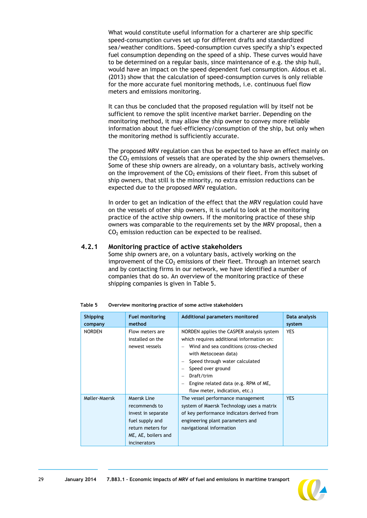What would constitute useful information for a charterer are ship specific speed-consumption curves set up for different drafts and standardized sea/weather conditions. Speed-consumption curves specify a ship's expected fuel consumption depending on the speed of a ship. These curves would have to be determined on a regular basis, since maintenance of e.g. the ship hull, would have an impact on the speed dependent fuel consumption. Aldous et al. (2013) show that the calculation of speed-consumption curves is only reliable for the more accurate fuel monitoring methods, i.e. continuous fuel flow meters and emissions monitoring.

It can thus be concluded that the proposed regulation will by itself not be sufficient to remove the split incentive market barrier. Depending on the monitoring method, it may allow the ship owner to convey more reliable information about the fuel-efficiency/consumption of the ship, but only when the monitoring method is sufficiently accurate.

The proposed MRV regulation can thus be expected to have an effect mainly on the  $CO<sub>2</sub>$  emissions of vessels that are operated by the ship owners themselves. Some of these ship owners are already, on a voluntary basis, actively working on the improvement of the  $CO<sub>2</sub>$  emissions of their fleet. From this subset of ship owners, that still is the minority, no extra emission reductions can be expected due to the proposed MRV regulation.

In order to get an indication of the effect that the MRV regulation could have on the vessels of other ship owners, it is useful to look at the monitoring practice of the active ship owners. If the monitoring practice of these ship owners was comparable to the requirements set by the MRV proposal, then a  $CO<sub>2</sub>$  emission reduction can be expected to be realised.

#### **4.2.1 Monitoring practice of active stakeholders**

Some ship owners are, on a voluntary basis, actively working on the improvement of the  $CO<sub>2</sub>$  emissions of their fleet. Through an internet search and by contacting firms in our network, we have identified a number of companies that do so. An overview of the monitoring practice of these shipping companies is given in [Table 5.](#page-28-0)

| <b>Shipping</b><br>company | <b>Fuel monitoring</b><br>method                                                                                                  | Additional parameters monitored                                                                                                                                                                                                                                                                        | Data analysis<br>system |
|----------------------------|-----------------------------------------------------------------------------------------------------------------------------------|--------------------------------------------------------------------------------------------------------------------------------------------------------------------------------------------------------------------------------------------------------------------------------------------------------|-------------------------|
| <b>NORDEN</b>              | Flow meters are<br>installed on the<br>newest vessels                                                                             | NORDEN applies the CASPER analysis system<br>which requires additional information on:<br>Wind and sea conditions (cross-checked<br>with Metocoean data)<br>Speed through water calculated<br>Speed over ground<br>Draft/trim<br>Engine related data (e.g. RPM of ME,<br>flow meter, indication, etc.) | <b>YES</b>              |
| Møller-Maersk              | Maersk Line<br>recommends to<br>invest in separate<br>fuel supply and<br>return meters for<br>ME, AE, boilers and<br>incinerators | The vessel performance management<br>system of Maersk Technology uses a matrix<br>of key performance indicators derived from<br>engineering plant parameters and<br>navigational information                                                                                                           | <b>YES</b>              |

<span id="page-28-0"></span>**Table 5 Overview monitoring practice of some active stakeholders**



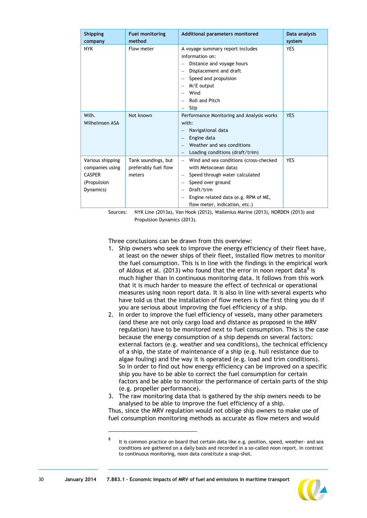| <b>Shipping</b><br>company                                                       | <b>Fuel monitoring</b><br>method                      | Additional parameters monitored                                                                                                                                                                              | Data analysis<br>system |
|----------------------------------------------------------------------------------|-------------------------------------------------------|--------------------------------------------------------------------------------------------------------------------------------------------------------------------------------------------------------------|-------------------------|
| <b>NYK</b>                                                                       | Flow meter                                            | A voyage summary report includes<br>information on:<br>Distance and voyage hours<br>Displacement and draft<br>Speed and propulsion<br>M/E output<br>Wind<br>Roll and Pitch<br>Slip                           | <b>YES</b>              |
| Wilh.<br>Wilhelmsen ASA                                                          | Not known                                             | Performance Monitoring and Analysis works<br>with:<br>Navigational data<br>Engine data<br>Weather and sea conditions<br>Loading conditions (draft/trim)                                                      | <b>YES</b>              |
| Various shipping<br>companies using<br><b>CASPER</b><br>(Propulsion<br>Dynamics) | Tank soundings, but<br>preferably fuel flow<br>meters | Wind and sea conditions (cross-checked<br>with Metocoean data)<br>Speed through water calculated<br>Speed over ground<br>Draft/trim<br>Engine related data (e.g. RPM of ME,<br>flow meter, indication, etc.) | <b>YES</b>              |

Sources: NYK Line (2013a), Van Hook (2012), Wallenius Marine (2013), NORDEN (2013) and Propulsion Dynamics (2013).

Three conclusions can be drawn from this overview:

- 1. Ship owners who seek to improve the energy efficiency of their fleet have, at least on the newer ships of their fleet, installed flow metres to monitor the fuel consumption. This is in line with the findings in the empirical work of Aldous et al. (2013) who found that the error in noon report data<sup>8</sup> is much higher than in continuous monitoring data. It follows from this work that it is much harder to measure the effect of technical or operational measures using noon report data. It is also in line with several experts who have told us that the installation of flow meters is the first thing you do if you are serious about improving the fuel efficiency of a ship.
- 2. In order to improve the fuel efficiency of vessels, many other parameters (and these are not only cargo load and distance as proposed in the MRV regulation) have to be monitored next to fuel consumption. This is the case because the energy consumption of a ship depends on several factors: external factors (e.g. weather and sea conditions), the technical efficiency of a ship, the state of maintenance of a ship (e.g. hull resistance due to algae fouling) and the way it is operated (e.g. load and trim conditions). So in order to find out how energy efficiency can be improved on a specific ship you have to be able to correct the fuel consumption for certain factors and be able to monitor the performance of certain parts of the ship (e.g. propeller performance).
- 3. The raw monitoring data that is gathered by the ship owners needs to be analysed to be able to improve the fuel efficiency of a ship.

Thus, since the MRV regulation would not oblige ship owners to make use of fuel consumption monitoring methods as accurate as flow meters and would

-



<sup>8</sup> It is common practice on board that certain data like e.g. position, speed, weather- and sea conditions are gathered on a daily basis and recorded in a so-called noon report. In contrast to continuous monitoring, noon data constitute a snap-shot.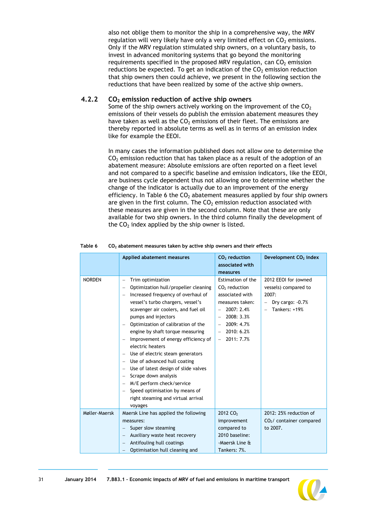also not oblige them to monitor the ship in a comprehensive way, the MRV regulation will very likely have only a very limited effect on  $CO<sub>2</sub>$  emissions. Only if the MRV regulation stimulated ship owners, on a voluntary basis, to invest in advanced monitoring systems that go beyond the monitoring requirements specified in the proposed MRV regulation, can  $CO<sub>2</sub>$  emission reductions be expected. To get an indication of the  $CO<sub>2</sub>$  emission reduction that ship owners then could achieve, we present in the following section the reductions that have been realized by some of the active ship owners.

#### **4.2.2 CO<sup>2</sup> emission reduction of active ship owners**

Some of the ship owners actively working on the improvement of the  $CO<sub>2</sub>$ emissions of their vessels do publish the emission abatement measures they have taken as well as the  $CO<sub>2</sub>$  emissions of their fleet. The emissions are thereby reported in absolute terms as well as in terms of an emission index like for example the EEOI.

In many cases the information published does not allow one to determine the  $CO<sub>2</sub>$  emission reduction that has taken place as a result of the adoption of an abatement measure: Absolute emissions are often reported on a fleet level and not compared to a specific baseline and emission indicators, like the EEOI, are business cycle dependent thus not allowing one to determine whether the change of the indicator is actually due to an improvement of the energy efficiency. In [Table 6](#page-30-0) the  $CO<sub>2</sub>$  abatement measures applied by four ship owners are given in the first column. The  $CO<sub>2</sub>$  emission reduction associated with these measures are given in the second column. Note that these are only available for two ship owners. In the third column finally the development of the  $CO<sub>2</sub>$  index applied by the ship owner is listed.

|               | Applied abatement measures                                                                                                                                                                                                                                                                                                                                                                                                                                                                                                                                                                                                                                                                                                                                                 | $CO2$ reduction<br>associated with<br>measures                                                                                                                                                             | Development CO <sub>2</sub> index                                                            |
|---------------|----------------------------------------------------------------------------------------------------------------------------------------------------------------------------------------------------------------------------------------------------------------------------------------------------------------------------------------------------------------------------------------------------------------------------------------------------------------------------------------------------------------------------------------------------------------------------------------------------------------------------------------------------------------------------------------------------------------------------------------------------------------------------|------------------------------------------------------------------------------------------------------------------------------------------------------------------------------------------------------------|----------------------------------------------------------------------------------------------|
| <b>NORDEN</b> | Trim optimization<br>$\qquad \qquad -$<br>Optimization hull/propeller cleaning<br>Increased frequency of overhaul of<br>$\overline{\phantom{m}}$<br>vessel's turbo chargers, vessel's<br>scavenger air coolers, and fuel oil<br>pumps and injectors<br>Optimization of calibration of the<br>engine by shaft torque measuring<br>Improvement of energy efficiency of<br>$\overline{\phantom{m}}$<br>electric heaters<br>Use of electric steam generators<br>Use of advanced hull coating<br>$\qquad \qquad -$<br>Use of latest design of slide valves<br>$\overline{\phantom{m}}$<br>Scrape down analysis<br>$\qquad \qquad -$<br>M/E perform check/service<br>Speed optimisation by means of<br>$\overline{\phantom{m}}$<br>right steaming and virtual arrival<br>voyages | Estimation of the<br>$CO2$ reduction<br>associated with<br>measures taken:<br>2007: 2.4%<br>$\overline{\phantom{0}}$<br>2008: 3.3%<br>2009: 4.7%<br>$\overline{a}$<br>2010: 6.2%<br>2011: 7.7%<br>$\equiv$ | 2012 EEOI for (owned<br>vessels) compared to<br>2007:<br>Dry cargo: $-0.7%$<br>Tankers: +19% |
| Møller-Maersk | Maersk Line has applied the following<br>measures:<br>Super slow steaming<br>Auxiliary waste heat recovery                                                                                                                                                                                                                                                                                                                                                                                                                                                                                                                                                                                                                                                                 | 2012 CO <sub>2</sub><br>improvement<br>compared to<br>2010 baseline:                                                                                                                                       | 2012: 25% reduction of<br>$CO2$ container compared<br>to 2007.                               |
|               | Antifouling hull coatings<br>$\qquad \qquad -$<br>Optimisation hull cleaning and                                                                                                                                                                                                                                                                                                                                                                                                                                                                                                                                                                                                                                                                                           | -Maersk Line &<br>Tankers: 7%.                                                                                                                                                                             |                                                                                              |

<span id="page-30-0"></span>**Table 6 CO<sup>2</sup> abatement measures taken by active ship owners and their effects**

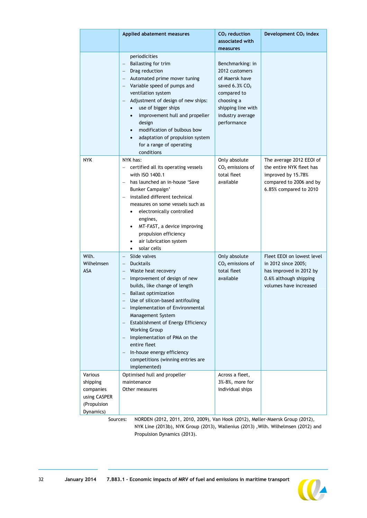|                                                                              | Applied abatement measures                                                                                                                                                                                                                                                                                                                                                                                                                           | $CO2$ reduction<br>associated with<br>measures                                                                                                                              | Development CO <sub>2</sub> index                                                                                                |
|------------------------------------------------------------------------------|------------------------------------------------------------------------------------------------------------------------------------------------------------------------------------------------------------------------------------------------------------------------------------------------------------------------------------------------------------------------------------------------------------------------------------------------------|-----------------------------------------------------------------------------------------------------------------------------------------------------------------------------|----------------------------------------------------------------------------------------------------------------------------------|
|                                                                              | periodicities<br>Ballasting for trim<br>Drag reduction<br>Automated prime mover tuning<br>Variable speed of pumps and<br>ventilation system<br>Adjustment of design of new ships:<br>use of bigger ships<br>$\bullet$<br>improvement hull and propeller<br>$\bullet$<br>design<br>modification of bulbous bow<br>$\bullet$<br>adaptation of propulsion system<br>$\bullet$<br>for a range of operating<br>conditions                                 | Benchmarking: in<br>2012 customers<br>of Maersk have<br>saved $6.3\%$ CO <sub>2</sub><br>compared to<br>choosing a<br>shipping line with<br>industry average<br>performance |                                                                                                                                  |
| <b>NYK</b>                                                                   | NYK has:<br>certified all its operating vessels<br>with ISO 1400.1<br>has launched an in-house 'Save<br>Bunker Campaign'<br>installed different technical<br>measures on some vessels such as<br>electronically controlled<br>$\bullet$<br>engines,<br>MT-FAST, a device improving<br>$\bullet$<br>propulsion efficiency<br>air lubrication system<br>$\bullet$<br>solar cells<br>$\bullet$                                                          | Only absolute<br>$CO2$ emissions of<br>total fleet<br>available                                                                                                             | The average 2012 EEOI of<br>the entire NYK fleet has<br>improved by 15.78%<br>compared to 2006 and by<br>6.85% compared to 2010  |
| Wilh.<br>Wilhelmsen<br>ASA                                                   | Slide valves<br><b>Ducktails</b><br>Waste heat recovery<br>Improvement of design of new<br>builds, like change of length<br><b>Ballast optimization</b><br>Use of silicon-based antifouling<br>Implementation of Environmental<br>Management System<br>Establishment of Energy Efficiency<br><b>Working Group</b><br>Implementation of PMA on the<br>entire fleet<br>In-house energy efficiency<br>competitions (winning entries are<br>implemented) | Only absolute<br>$CO2$ emissions of<br>total fleet<br>available                                                                                                             | Fleet EEOI on lowest level<br>in 2012 since 2005;<br>has improved in 2012 by<br>0.6% although shipping<br>volumes have increased |
| Various<br>shipping<br>companies<br>using CASPER<br>(Propulsion<br>Dynamics) | Optimised hull and propeller<br>maintenance<br>Other measures                                                                                                                                                                                                                                                                                                                                                                                        | Across a fleet,<br>3%-8%, more for<br>individual ships                                                                                                                      |                                                                                                                                  |

Sources: NORDEN (2012, 2011, 2010, 2009), Van Hook (2012), Møller-Maersk Group (2012), NYK Line (2013b), NYK Group (2013), Wallenius (2013) ,Wilh. Wilhelmsen (2012) and Propulsion Dynamics (2013).

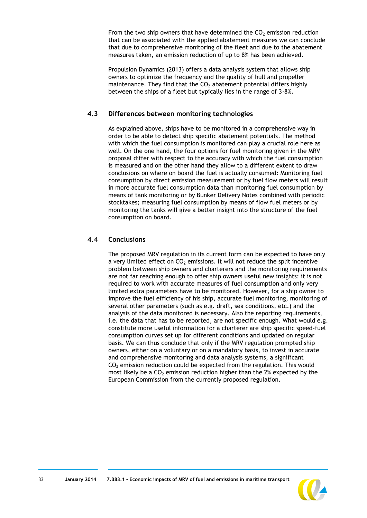From the two ship owners that have determined the  $CO<sub>2</sub>$  emission reduction that can be associated with the applied abatement measures we can conclude that due to comprehensive monitoring of the fleet and due to the abatement measures taken, an emission reduction of up to 8% has been achieved.

Propulsion Dynamics (2013) offers a data analysis system that allows ship owners to optimize the frequency and the quality of hull and propeller maintenance. They find that the  $CO<sub>2</sub>$  abatement potential differs highly between the ships of a fleet but typically lies in the range of 3-8%.

### **4.3 Differences between monitoring technologies**

As explained above, ships have to be monitored in a comprehensive way in order to be able to detect ship specific abatement potentials. The method with which the fuel consumption is monitored can play a crucial role here as well. On the one hand, the four options for fuel monitoring given in the MRV proposal differ with respect to the accuracy with which the fuel consumption is measured and on the other hand they allow to a different extent to draw conclusions on where on board the fuel is actually consumed: Monitoring fuel consumption by direct emission measurement or by fuel flow meters will result in more accurate fuel consumption data than monitoring fuel consumption by means of tank monitoring or by Bunker Delivery Notes combined with periodic stocktakes; measuring fuel consumption by means of flow fuel meters or by monitoring the tanks will give a better insight into the structure of the fuel consumption on board.

### **4.4 Conclusions**

The proposed MRV regulation in its current form can be expected to have only a very limited effect on  $CO<sub>2</sub>$  emissions. It will not reduce the split incentive problem between ship owners and charterers and the monitoring requirements are not far reaching enough to offer ship owners useful new insights: it is not required to work with accurate measures of fuel consumption and only very limited extra parameters have to be monitored. However, for a ship owner to improve the fuel efficiency of his ship, accurate fuel monitoring, monitoring of several other parameters (such as e.g. draft, sea conditions, etc.) and the analysis of the data monitored is necessary. Also the reporting requirements, i.e. the data that has to be reported, are not specific enough. What would e.g. constitute more useful information for a charterer are ship specific speed-fuel consumption curves set up for different conditions and updated on regular basis. We can thus conclude that only if the MRV regulation prompted ship owners, either on a voluntary or on a mandatory basis, to invest in accurate and comprehensive monitoring and data analysis systems, a significant  $CO<sub>2</sub>$  emission reduction could be expected from the regulation. This would most likely be a  $CO<sub>2</sub>$  emission reduction higher than the 2% expected by the European Commission from the currently proposed regulation.

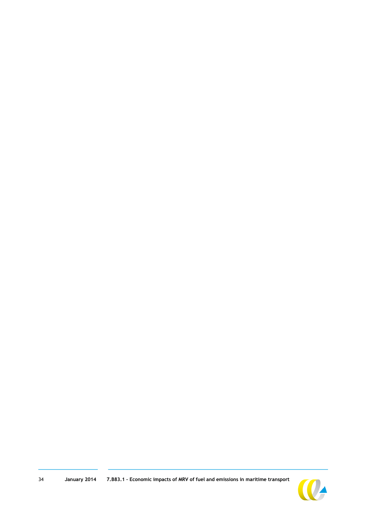

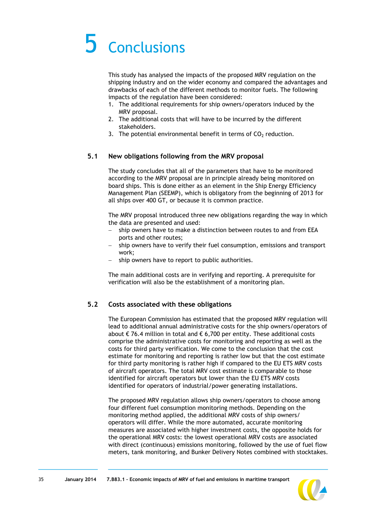# 5 Conclusions

This study has analysed the impacts of the proposed MRV regulation on the shipping industry and on the wider economy and compared the advantages and drawbacks of each of the different methods to monitor fuels. The following impacts of the regulation have been considered:

- 1. The additional requirements for ship owners/operators induced by the MRV proposal.
- 2. The additional costs that will have to be incurred by the different stakeholders.
- 3. The potential environmental benefit in terms of  $CO<sub>2</sub>$  reduction.

# **5.1 New obligations following from the MRV proposal**

The study concludes that all of the parameters that have to be monitored according to the MRV proposal are in principle already being monitored on board ships. This is done either as an element in the Ship Energy Efficiency Management Plan (SEEMP), which is obligatory from the beginning of 2013 for all ships over 400 GT, or because it is common practice.

The MRV proposal introduced three new obligations regarding the way in which the data are presented and used:

- ship owners have to make a distinction between routes to and from EEA ports and other routes;
- ship owners have to verify their fuel consumption, emissions and transport work;
- ship owners have to report to public authorities.

The main additional costs are in verifying and reporting. A prerequisite for verification will also be the establishment of a monitoring plan.

# **5.2 Costs associated with these obligations**

The European Commission has estimated that the proposed MRV regulation will lead to additional annual administrative costs for the ship owners/operators of about € 76.4 million in total and € 6,700 per entity. These additional costs comprise the administrative costs for monitoring and reporting as well as the costs for third party verification. We come to the conclusion that the cost estimate for monitoring and reporting is rather low but that the cost estimate for third party monitoring is rather high if compared to the EU ETS MRV costs of aircraft operators. The total MRV cost estimate is comparable to those identified for aircraft operators but lower than the EU ETS MRV costs identified for operators of industrial/power generating installations.

The proposed MRV regulation allows ship owners/operators to choose among four different fuel consumption monitoring methods. Depending on the monitoring method applied, the additional MRV costs of ship owners/ operators will differ. While the more automated, accurate monitoring measures are associated with higher investment costs, the opposite holds for the operational MRV costs: the lowest operational MRV costs are associated with direct (continuous) emissions monitoring, followed by the use of fuel flow meters, tank monitoring, and Bunker Delivery Notes combined with stocktakes.

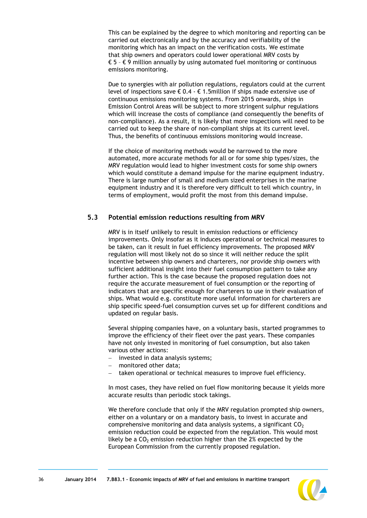This can be explained by the degree to which monitoring and reporting can be carried out electronically and by the accuracy and verifiability of the monitoring which has an impact on the verification costs. We estimate that ship owners and operators could lower operational MRV costs by € 5 -  $∈$  9 million annually by using automated fuel monitoring or continuous emissions monitoring.

Due to synergies with air pollution regulations, regulators could at the current level of inspections save  $\epsilon$  0.4 -  $\epsilon$  1.5million if ships made extensive use of continuous emissions monitoring systems. From 2015 onwards, ships in Emission Control Areas will be subject to more stringent sulphur regulations which will increase the costs of compliance (and consequently the benefits of non-compliance). As a result, it is likely that more inspections will need to be carried out to keep the share of non-compliant ships at its current level. Thus, the benefits of continuous emissions monitoring would increase.

If the choice of monitoring methods would be narrowed to the more automated, more accurate methods for all or for some ship types/sizes, the MRV regulation would lead to higher investment costs for some ship owners which would constitute a demand impulse for the marine equipment industry. There is large number of small and medium sized enterprises in the marine equipment industry and it is therefore very difficult to tell which country, in terms of employment, would profit the most from this demand impulse.

### **5.3 Potential emission reductions resulting from MRV**

MRV is in itself unlikely to result in emission reductions or efficiency improvements. Only insofar as it induces operational or technical measures to be taken, can it result in fuel efficiency improvements. The proposed MRV regulation will most likely not do so since it will neither reduce the split incentive between ship owners and charterers, nor provide ship owners with sufficient additional insight into their fuel consumption pattern to take any further action. This is the case because the proposed regulation does not require the accurate measurement of fuel consumption or the reporting of indicators that are specific enough for charterers to use in their evaluation of ships. What would e.g. constitute more useful information for charterers are ship specific speed-fuel consumption curves set up for different conditions and updated on regular basis.

Several shipping companies have, on a voluntary basis, started programmes to improve the efficiency of their fleet over the past years. These companies have not only invested in monitoring of fuel consumption, but also taken various other actions:

- invested in data analysis systems;
- monitored other data;
- taken operational or technical measures to improve fuel efficiency.

In most cases, they have relied on fuel flow monitoring because it yields more accurate results than periodic stock takings.

We therefore conclude that only if the MRV regulation prompted ship owners, either on a voluntary or on a mandatory basis, to invest in accurate and comprehensive monitoring and data analysis systems, a significant  $CO<sub>2</sub>$ emission reduction could be expected from the regulation. This would most likely be a  $CO<sub>2</sub>$  emission reduction higher than the 2% expected by the European Commission from the currently proposed regulation.

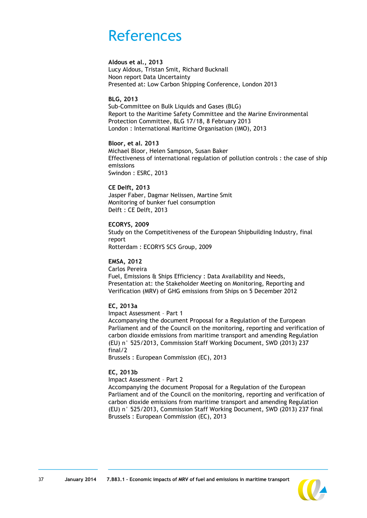# References

#### **Aldous et al., 2013**

Lucy Aldous, Tristan Smit, Richard Bucknall Noon report Data Uncertainty Presented at: Low Carbon Shipping Conference, London 2013

#### **BLG, 2013**

Sub-Committee on Bulk Liquids and Gases (BLG) Report to the Maritime Safety Committee and the Marine Environmental Protection Committee, BLG 17/18, 8 February 2013 London : International Maritime Organisation (IMO), 2013

#### **Bloor, et al. 2013**

Michael Bloor, Helen Sampson, Susan Baker Effectiveness of international regulation of pollution controls : the case of ship emissions Swindon : ESRC, 2013

#### **CE Delft, 2013**

Jasper Faber, Dagmar Nelissen, Martine Smit Monitoring of bunker fuel consumption Delft : CE Delft, 2013

#### **ECORYS, 2009**

Study on the Competitiveness of the European Shipbuilding Industry, final report Rotterdam : ECORYS SCS Group, 2009

#### **EMSA, 2012**

Carlos Pereira Fuel, Emissions & Ships Efficiency : Data Availability and Needs, Presentation at: the Stakeholder Meeting on Monitoring, Reporting and Verification (MRV) of GHG emissions from Ships on 5 December 2012

#### **EC, 2013a**

Impact Assessment – Part 1

Accompanying the document Proposal for a Regulation of the European Parliament and of the Council on the monitoring, reporting and verification of carbon dioxide emissions from maritime transport and amending Regulation (EU) n° 525/2013, Commission Staff Working Document, SWD (2013) 237 final/2

Brussels : European Commission (EC), 2013

#### **EC, 2013b**

Impact Assessment – Part 2

Accompanying the document Proposal for a Regulation of the European Parliament and of the Council on the monitoring, reporting and verification of carbon dioxide emissions from maritime transport and amending Regulation (EU) n° 525/2013, Commission Staff Working Document, SWD (2013) 237 final Brussels : European Commission (EC), 2013

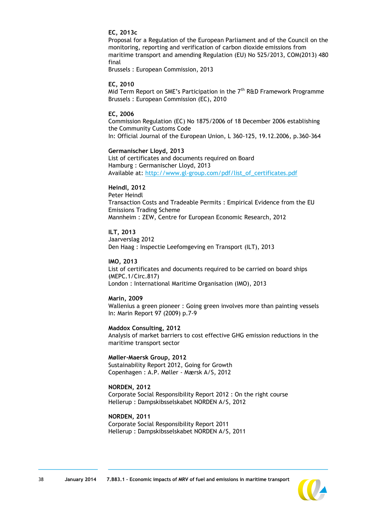#### **EC, 2013c**

Proposal for a Regulation of the European Parliament and of the Council on the monitoring, reporting and verification of carbon dioxide emissions from maritime transport and amending Regulation (EU) No 525/2013, COM(2013) 480 final

Brussels : European Commission, 2013

#### **EC, 2010**

Mid Term Report on SME's Participation in the  $7<sup>th</sup>$  R&D Framework Programme Brussels : European Commission (EC), 2010

#### **EC, 2006**

Commission Regulation (EC) No 1875/2006 of 18 December 2006 establishing the Community Customs Code In: Official Journal of the European Union, L 360-125, 19.12.2006, p.360-364

**Germanischer Lloyd, 2013**

List of certificates and documents required on Board Hamburg : Germanischer Lloyd, 2013 Available at: [http://www.gl-group.com/pdf/list\\_of\\_certificates.pdf](http://www.gl-group.com/pdf/list_of_certificates.pdf)

#### **Heindl, 2012**

Peter Heindl Transaction Costs and Tradeable Permits : Empirical Evidence from the EU Emissions Trading Scheme Mannheim : ZEW, Centre for European Economic Research, 2012

**ILT, 2013** Jaarverslag 2012 Den Haag : Inspectie Leefomgeving en Transport (ILT), 2013

#### **IMO, 2013**

List of certificates and documents required to be carried on board ships (MEPC.1/Circ.817) London : International Maritime Organisation (IMO), 2013

#### **Marin, 2009**

Wallenius a green pioneer : Going green involves more than painting vessels In: Marin Report 97 (2009) p.7-9

#### **Maddox Consulting, 2012**

Analysis of market barriers to cost effective GHG emission reductions in the maritime transport sector

#### **Møller-Maersk Group, 2012**

Sustainability Report 2012, Going for Growth Copenhagen : A.P. Møller - Mærsk A/S, 2012

#### **NORDEN, 2012**

Corporate Social Responsibility Report 2012 : On the right course Hellerup : Dampskibsselskabet NORDEN A/S, 2012

#### **NORDEN, 2011**

Corporate Social Responsibility Report 2011 Hellerup : Dampskibsselskabet NORDEN A/S, 2011

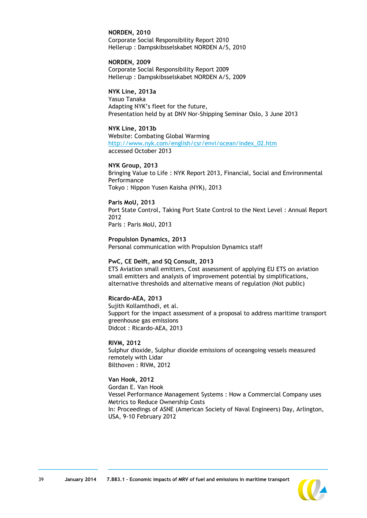**NORDEN, 2010** Corporate Social Responsibility Report 2010 Hellerup : Dampskibsselskabet NORDEN A/S, 2010

**NORDEN, 2009** Corporate Social Responsibility Report 2009 Hellerup : Dampskibsselskabet NORDEN A/S, 2009

**NYK Line, 2013a** Yasuo Tanaka Adapting NYK's fleet for the future, Presentation held by at DNV Nor-Shipping Seminar Oslo, 3 June 2013

**NYK Line, 2013b** Website: Combating Global Warming [http://www.nyk.com/english/csr/envi/ocean/index\\_02.htm](http://www.nyk.com/english/csr/envi/ocean/index_02.htm) accessed October 2013

**NYK Group, 2013** Bringing Value to Life : NYK Report 2013, Financial, Social and Environmental Performance Tokyo : Nippon Yusen Kaisha (NYK), 2013

**Paris MoU, 2013** Port State Control, Taking Port State Control to the Next Level : Annual Report 2012 Paris : Paris MoU, 2013

**Propulsion Dynamics, 2013** Personal communication with Propulsion Dynamics staff

#### **PwC, CE Delft, and SQ Consult, 2013**

ETS Aviation small emitters, Cost assessment of applying EU ETS on aviation small emitters and analysis of improvement potential by simplifications, alternative thresholds and alternative means of regulation (Not public)

#### **Ricardo-AEA, 2013**

Sujith Kollamthodi, et al. Support for the impact assessment of a proposal to address maritime transport greenhouse gas emissions Didcot : Ricardo-AEA, 2013

#### **RIVM, 2012**

Sulphur dioxide, Sulphur dioxide emissions of oceangoing vessels measured remotely with Lidar Bilthoven : RIVM, 2012

**Van Hook, 2012** Gordan E. Van Hook Vessel Performance Management Systems : How a Commercial Company uses Metrics to Reduce Ownership Costs In: Proceedings of ASNE (American Society of Naval Engineers) Day, Arlington, USA, 9-10 February 2012